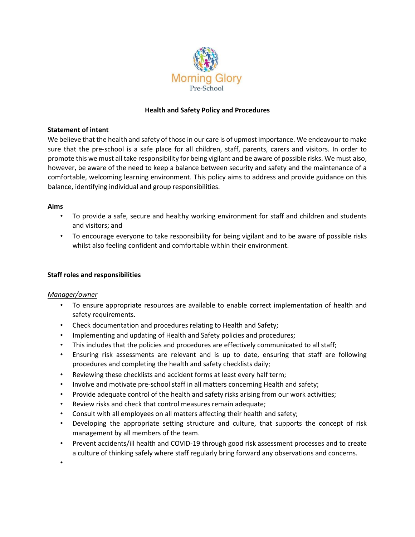

# **Health and Safety Policy and Procedures**

### **Statement of intent**

We believe that the health and safety of those in our care is of upmost importance. We endeavour to make sure that the pre-school is a safe place for all children, staff, parents, carers and visitors. In order to promote this we must all take responsibility for being vigilant and be aware of possible risks. We must also, however, be aware of the need to keep a balance between security and safety and the maintenance of a comfortable, welcoming learning environment. This policy aims to address and provide guidance on this balance, identifying individual and group responsibilities.

### **Aims**

- To provide a safe, secure and healthy working environment for staff and children and students and visitors; and
- To encourage everyone to take responsibility for being vigilant and to be aware of possible risks whilst also feeling confident and comfortable within their environment.

# **Staff roles and responsibilities**

# *Manager/owner*

•

- To ensure appropriate resources are available to enable correct implementation of health and safety requirements.
- Check documentation and procedures relating to Health and Safety;
- Implementing and updating of Health and Safety policies and procedures;
- This includes that the policies and procedures are effectively communicated to all staff;
- Ensuring risk assessments are relevant and is up to date, ensuring that staff are following procedures and completing the health and safety checklists daily;
- Reviewing these checklists and accident forms at least every half term;
- Involve and motivate pre-school staff in all matters concerning Health and safety;
- Provide adequate control of the health and safety risks arising from our work activities;
- Review risks and check that control measures remain adequate;
- Consult with all employees on all matters affecting their health and safety;
- Developing the appropriate setting structure and culture, that supports the concept of risk management by all members of the team.
- Prevent accidents/ill health and COVID-19 through good risk assessment processes and to create a culture of thinking safely where staff regularly bring forward any observations and concerns.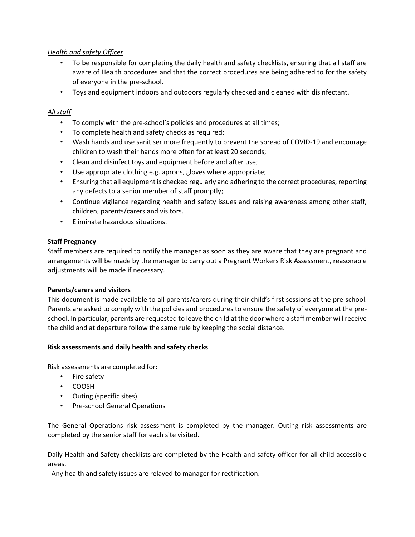# *Health and safety Officer*

- To be responsible for completing the daily health and safety checklists, ensuring that all staff are aware of Health procedures and that the correct procedures are being adhered to for the safety of everyone in the pre-school.
- Toys and equipment indoors and outdoors regularly checked and cleaned with disinfectant.

# *All staff*

- To comply with the pre-school's policies and procedures at all times;
- To complete health and safety checks as required;
- Wash hands and use sanitiser more frequently to prevent the spread of COVID-19 and encourage children to wash their hands more often for at least 20 seconds;
- Clean and disinfect toys and equipment before and after use;
- Use appropriate clothing e.g. aprons, gloves where appropriate;
- Ensuring that all equipment is checked regularly and adhering to the correct procedures, reporting any defects to a senior member of staff promptly;
- Continue vigilance regarding health and safety issues and raising awareness among other staff, children, parents/carers and visitors.
- Eliminate hazardous situations.

# **Staff Pregnancy**

Staff members are required to notify the manager as soon as they are aware that they are pregnant and arrangements will be made by the manager to carry out a Pregnant Workers Risk Assessment, reasonable adjustments will be made if necessary.

# **Parents/carers and visitors**

This document is made available to all parents/carers during their child's first sessions at the pre-school. Parents are asked to comply with the policies and procedures to ensure the safety of everyone at the preschool. In particular, parents are requested to leave the child at the door where a staff member will receive the child and at departure follow the same rule by keeping the social distance.

# **Risk assessments and daily health and safety checks**

Risk assessments are completed for:

- Fire safety
- COOSH
- Outing (specific sites)
- Pre-school General Operations

The General Operations risk assessment is completed by the manager. Outing risk assessments are completed by the senior staff for each site visited.

Daily Health and Safety checklists are completed by the Health and safety officer for all child accessible areas.

Any health and safety issues are relayed to manager for rectification.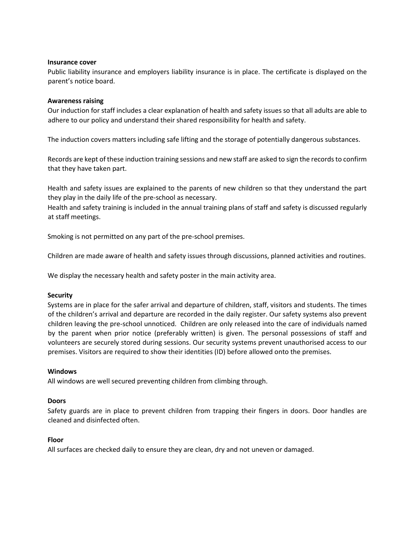### **Insurance cover**

Public liability insurance and employers liability insurance is in place. The certificate is displayed on the parent's notice board.

### **Awareness raising**

Our induction for staff includes a clear explanation of health and safety issues so that all adults are able to adhere to our policy and understand their shared responsibility for health and safety.

The induction covers matters including safe lifting and the storage of potentially dangerous substances.

Records are kept of these induction training sessions and new staff are asked to sign the records to confirm that they have taken part.

Health and safety issues are explained to the parents of new children so that they understand the part they play in the daily life of the pre-school as necessary.

Health and safety training is included in the annual training plans of staff and safety is discussed regularly at staff meetings.

Smoking is not permitted on any part of the pre-school premises.

Children are made aware of health and safety issues through discussions, planned activities and routines.

We display the necessary health and safety poster in the main activity area.

### **Security**

Systems are in place for the safer arrival and departure of children, staff, visitors and students. The times of the children's arrival and departure are recorded in the daily register. Our safety systems also prevent children leaving the pre-school unnoticed. Children are only released into the care of individuals named by the parent when prior notice (preferably written) is given. The personal possessions of staff and volunteers are securely stored during sessions. Our security systems prevent unauthorised access to our premises. Visitors are required to show their identities (ID) before allowed onto the premises.

### **Windows**

All windows are well secured preventing children from climbing through.

### **Doors**

Safety guards are in place to prevent children from trapping their fingers in doors. Door handles are cleaned and disinfected often.

### **Floor**

All surfaces are checked daily to ensure they are clean, dry and not uneven or damaged.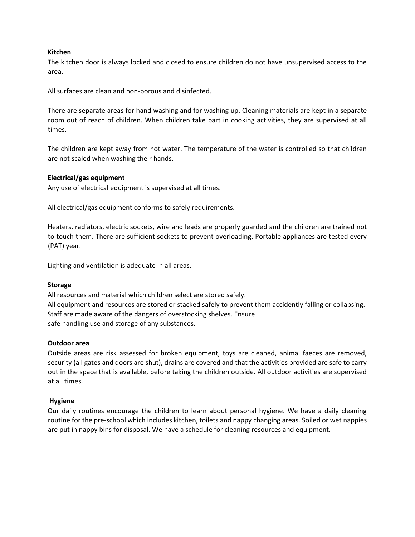### **Kitchen**

The kitchen door is always locked and closed to ensure children do not have unsupervised access to the area.

All surfaces are clean and non-porous and disinfected.

There are separate areas for hand washing and for washing up. Cleaning materials are kept in a separate room out of reach of children. When children take part in cooking activities, they are supervised at all times.

The children are kept away from hot water. The temperature of the water is controlled so that children are not scaled when washing their hands.

### **Electrical/gas equipment**

Any use of electrical equipment is supervised at all times.

All electrical/gas equipment conforms to safely requirements.

Heaters, radiators, electric sockets, wire and leads are properly guarded and the children are trained not to touch them. There are sufficient sockets to prevent overloading. Portable appliances are tested every (PAT) year.

Lighting and ventilation is adequate in all areas.

### **Storage**

All resources and material which children select are stored safely. All equipment and resources are stored or stacked safely to prevent them accidently falling or collapsing. Staff are made aware of the dangers of overstocking shelves. Ensure safe handling use and storage of any substances.

### **Outdoor area**

Outside areas are risk assessed for broken equipment, toys are cleaned, animal faeces are removed, security (all gates and doors are shut), drains are covered and that the activities provided are safe to carry out in the space that is available, before taking the children outside. All outdoor activities are supervised at all times.

# **Hygiene**

Our daily routines encourage the children to learn about personal hygiene. We have a daily cleaning routine for the pre-school which includes kitchen, toilets and nappy changing areas. Soiled or wet nappies are put in nappy bins for disposal. We have a schedule for cleaning resources and equipment.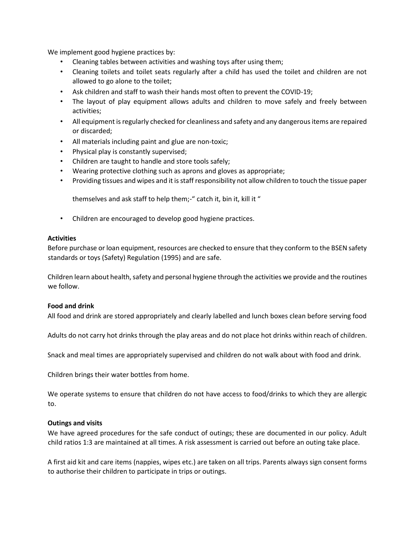We implement good hygiene practices by:

- Cleaning tables between activities and washing toys after using them;
- Cleaning toilets and toilet seats regularly after a child has used the toilet and children are not allowed to go alone to the toilet;
- Ask children and staff to wash their hands most often to prevent the COVID-19;
- The layout of play equipment allows adults and children to move safely and freely between activities;
- All equipment is regularly checked for cleanliness and safety and any dangerous items are repaired or discarded;
- All materials including paint and glue are non-toxic;
- Physical play is constantly supervised;
- Children are taught to handle and store tools safely;
- Wearing protective clothing such as aprons and gloves as appropriate;
- Providing tissues and wipes and it is staff responsibility not allow children to touch the tissue paper

themselves and ask staff to help them;-" catch it, bin it, kill it "

• Children are encouraged to develop good hygiene practices.

### **Activities**

Before purchase or loan equipment, resources are checked to ensure that they conform to the BSEN safety standards or toys (Safety) Regulation (1995) and are safe.

Children learn about health, safety and personal hygiene through the activities we provide and the routines we follow.

### **Food and drink**

All food and drink are stored appropriately and clearly labelled and lunch boxes clean before serving food

Adults do not carry hot drinks through the play areas and do not place hot drinks within reach of children.

Snack and meal times are appropriately supervised and children do not walk about with food and drink.

Children brings their water bottles from home.

We operate systems to ensure that children do not have access to food/drinks to which they are allergic to.

# **Outings and visits**

We have agreed procedures for the safe conduct of outings; these are documented in our policy. Adult child ratios 1:3 are maintained at all times. A risk assessment is carried out before an outing take place.

A first aid kit and care items (nappies, wipes etc.) are taken on all trips. Parents always sign consent forms to authorise their children to participate in trips or outings.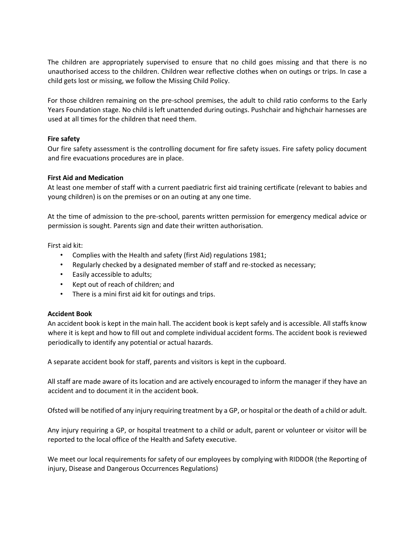The children are appropriately supervised to ensure that no child goes missing and that there is no unauthorised access to the children. Children wear reflective clothes when on outings or trips. In case a child gets lost or missing, we follow the Missing Child Policy.

For those children remaining on the pre-school premises, the adult to child ratio conforms to the Early Years Foundation stage. No child is left unattended during outings. Pushchair and highchair harnesses are used at all times for the children that need them.

# **Fire safety**

Our fire safety assessment is the controlling document for fire safety issues. Fire safety policy document and fire evacuations procedures are in place.

# **First Aid and Medication**

At least one member of staff with a current paediatric first aid training certificate (relevant to babies and young children) is on the premises or on an outing at any one time.

At the time of admission to the pre-school, parents written permission for emergency medical advice or permission is sought. Parents sign and date their written authorisation.

First aid kit:

- Complies with the Health and safety (first Aid) regulations 1981;
- Regularly checked by a designated member of staff and re-stocked as necessary;
- Easily accessible to adults;
- Kept out of reach of children; and
- There is a mini first aid kit for outings and trips.

# **Accident Book**

An accident book is kept in the main hall. The accident book is kept safely and is accessible. All staffs know where it is kept and how to fill out and complete individual accident forms. The accident book is reviewed periodically to identify any potential or actual hazards.

A separate accident book for staff, parents and visitors is kept in the cupboard.

All staff are made aware of its location and are actively encouraged to inform the manager if they have an accident and to document it in the accident book.

Ofsted will be notified of any injury requiring treatment by a GP, or hospital or the death of a child or adult.

Any injury requiring a GP, or hospital treatment to a child or adult, parent or volunteer or visitor will be reported to the local office of the Health and Safety executive.

We meet our local requirements for safety of our employees by complying with RIDDOR (the Reporting of injury, Disease and Dangerous Occurrences Regulations)